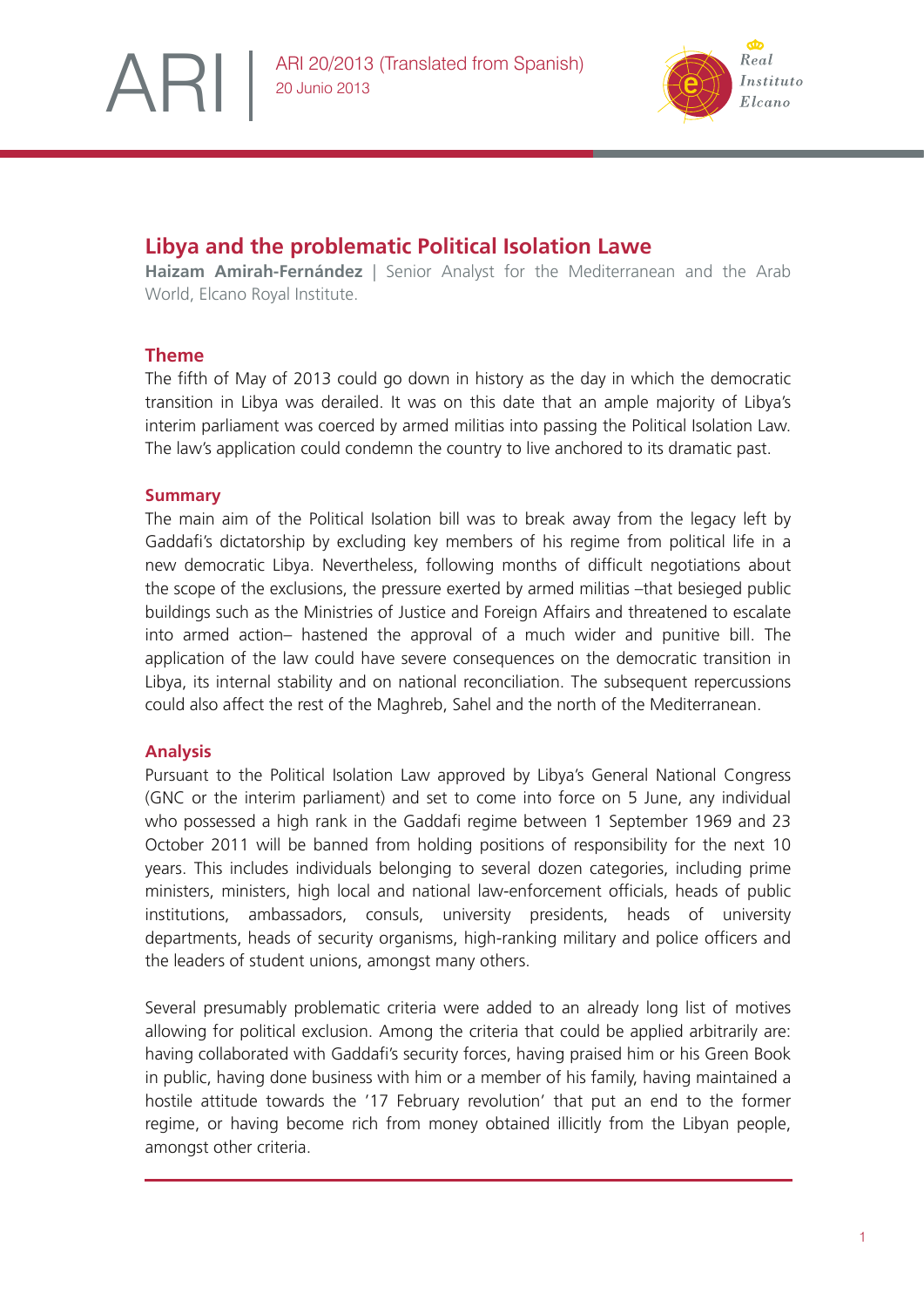

# **Libya and the problematic Political Isolation Lawe**

**Haizam Amirah-Fernández** | Senior Analyst for the Mediterranean and the Arab World, Elcano Royal Institute.

# **Theme**

ARI

The fifth of May of 2013 could go down in history as the day in which the democratic transition in Libya was derailed. It was on this date that an ample majority of Libya's interim parliament was coerced by armed militias into passing the Political Isolation Law. The law's application could condemn the country to live anchored to its dramatic past.

## **Summary**

The main aim of the Political Isolation bill was to break away from the legacy left by Gaddafi's dictatorship by excluding key members of his regime from political life in a new democratic Libya. Nevertheless, following months of difficult negotiations about the scope of the exclusions, the pressure exerted by armed militias –that besieged public buildings such as the Ministries of Justice and Foreign Affairs and threatened to escalate into armed action– hastened the approval of a much wider and punitive bill. The application of the law could have severe consequences on the democratic transition in Libya, its internal stability and on national reconciliation. The subsequent repercussions could also affect the rest of the Maghreb, Sahel and the north of the Mediterranean.

## **Analysis**

Pursuant to the Political Isolation Law approved by Libya's General National Congress (GNC or the interim parliament) and set to come into force on 5 June, any individual who possessed a high rank in the Gaddafi regime between 1 September 1969 and 23 October 2011 will be banned from holding positions of responsibility for the next 10 years. This includes individuals belonging to several dozen categories, including prime ministers, ministers, high local and national lawenforcement officials, heads of public institutions, ambassadors, consuls, university presidents, heads of university departments, heads of security organisms, high-ranking military and police officers and the leaders of student unions, amongst many others.

Several presumably problematic criteria were added to an already long list of motives allowing for political exclusion. Among the criteria that could be applied arbitrarily are: having collaborated with Gaddafi's security forces, having praised him or his Green Book in public, having done business with him or a member of his family, having maintained a hostile attitude towards the '17 February revolution' that put an end to the former regime, or having become rich from money obtained illicitly from the Libyan people, amongst other criteria.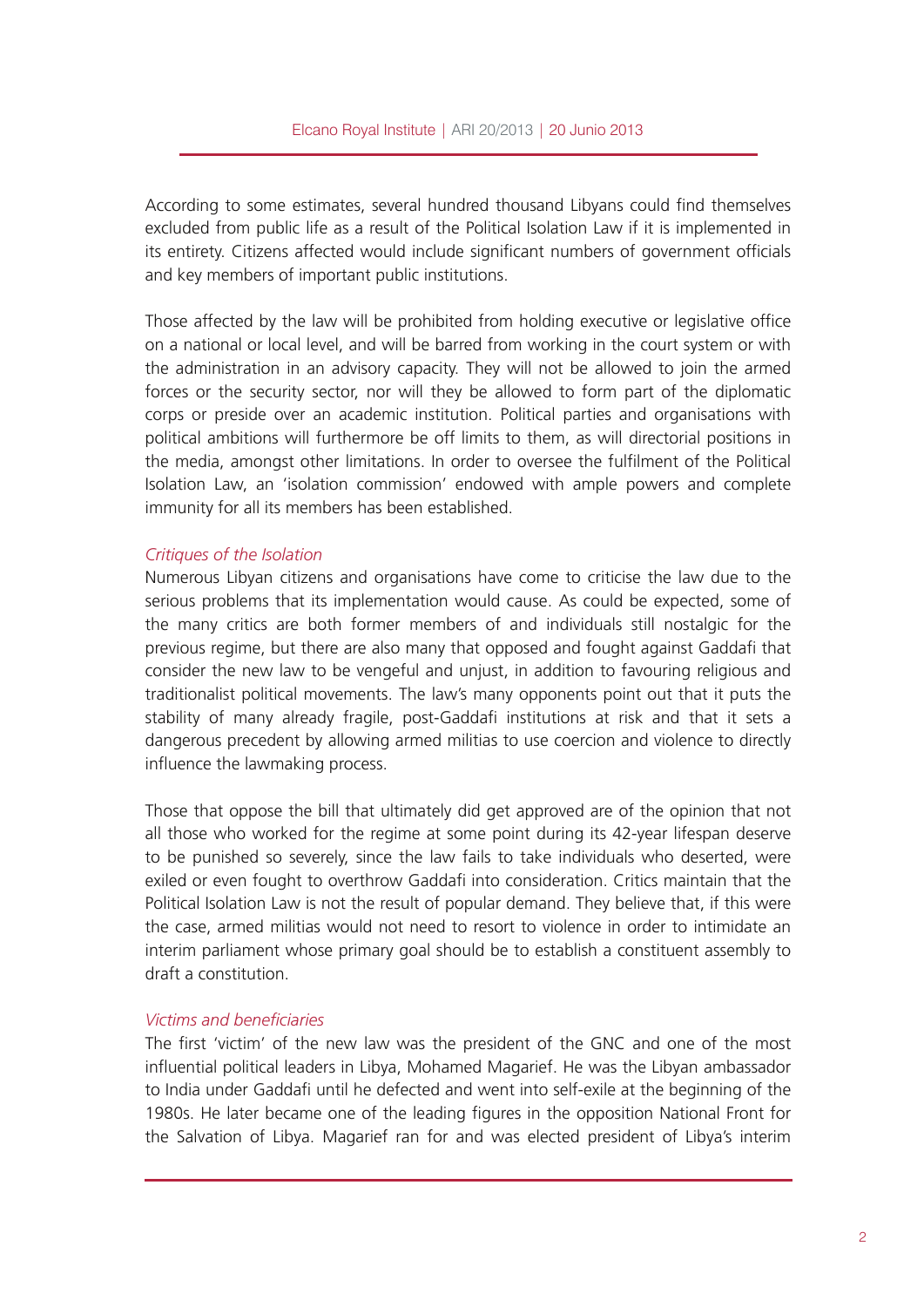According to some estimates, several hundred thousand Libyans could find themselves excluded from public life as a result of the Political Isolation Law if it is implemented in its entirety. Citizens affected would include significant numbers of government officials and key members of important public institutions.

Those affected by the law will be prohibited from holding executive or legislative office on a national or local level, and will be barred from working in the court system or with the administration in an advisory capacity. They will not be allowed to join the armed forces or the security sector, nor will they be allowed to form part of the diplomatic corps or preside over an academic institution. Political parties and organisations with political ambitions will furthermore be off limits to them, as will directorial positions in the media, amongst other limitations. In order to oversee the fulfilment of the Political Isolation Law, an 'isolation commission' endowed with ample powers and complete immunity for all its members has been established.

#### *Critiques of the Isolation*

Numerous Libyan citizens and organisations have come to criticise the law due to the serious problems that its implementation would cause. As could be expected, some of the many critics are both former members of and individuals still nostalgic for the previous regime, but there are also many that opposed and fought against Gaddafi that consider the new law to be vengeful and unjust, in addition to favouring religious and traditionalist political movements. The law's many opponents point out that it puts the stability of many already fragile, post-Gaddafi institutions at risk and that it sets a dangerous precedent by allowing armed militias to use coercion and violence to directly influence the lawmaking process.

Those that oppose the bill that ultimately did get approved are of the opinion that not all those who worked for the regime at some point during its 42-year lifespan deserve to be punished so severely, since the law fails to take individuals who deserted, were exiled or even fought to overthrow Gaddafi into consideration. Critics maintain that the Political Isolation Law is not the result of popular demand. They believe that, if this were the case, armed militias would not need to resort to violence in order to intimidate an interim parliament whose primary goal should be to establish a constituent assembly to draft a constitution.

#### *Victims and beneficiaries*

The first 'victim' of the new law was the president of the GNC and one of the most influential political leaders in Libya, Mohamed Magarief. He was the Libyan ambassador to India under Gaddafi until he defected and went into self-exile at the beginning of the 1980s. He later became one of the leading figures in the opposition National Front for the Salvation of Libya. Magarief ran for and was elected president of Libya's interim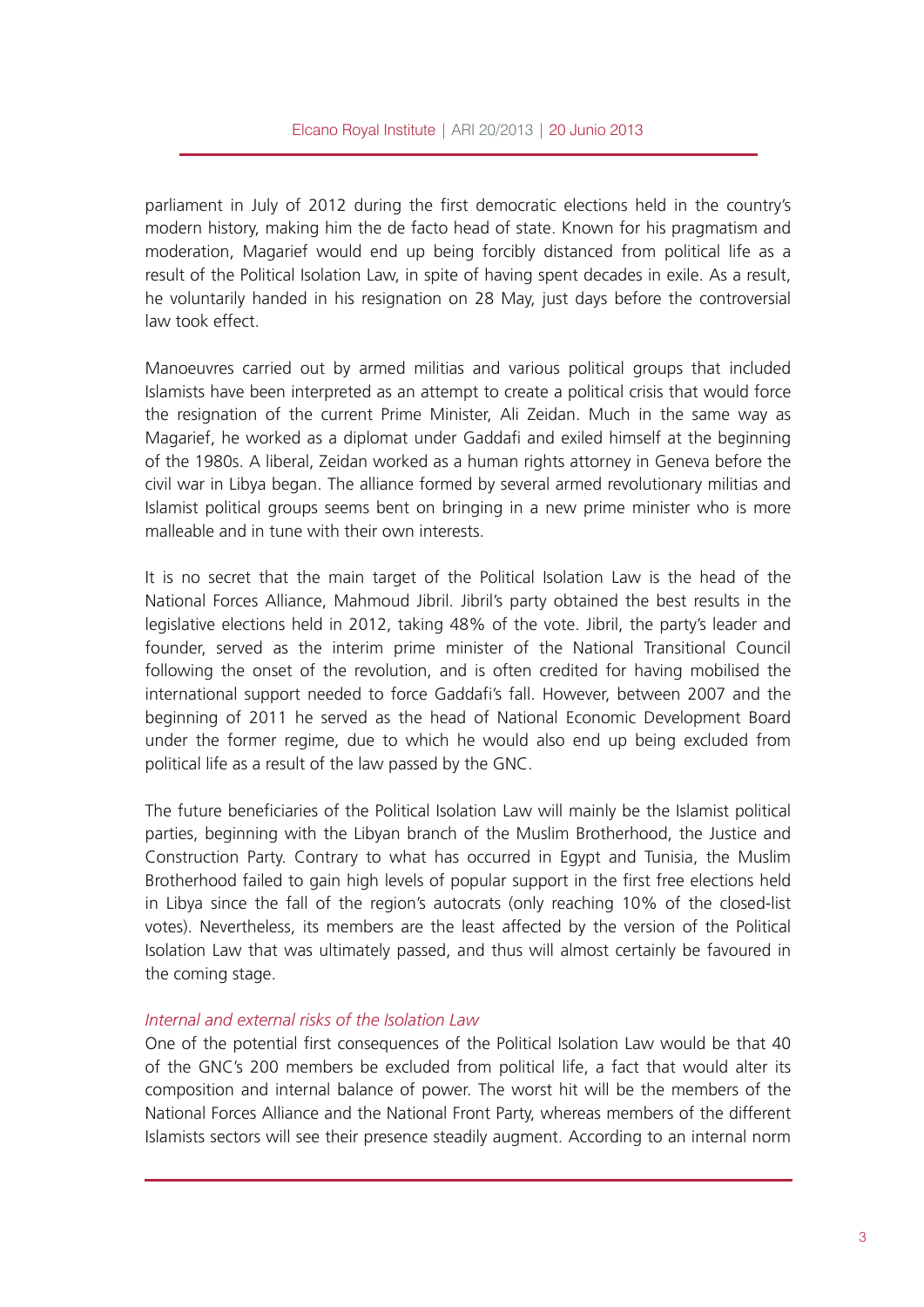parliament in July of 2012 during the first democratic elections held in the country's modern history, making him the de facto head of state. Known for his pragmatism and moderation, Magarief would end up being forcibly distanced from political life as a result of the Political Isolation Law, in spite of having spent decades in exile. As a result, he voluntarily handed in his resignation on 28 May, just days before the controversial law took effect.

Manoeuvres carried out by armed militias and various political groups that included Islamists have been interpreted as an attempt to create a political crisis that would force the resignation of the current Prime Minister, Ali Zeidan. Much in the same way as Magarief, he worked as a diplomat under Gaddafi and exiled himself at the beginning of the 1980s. A liberal, Zeidan worked as a human rights attorney in Geneva before the civil war in Libya began. The alliance formed by several armed revolutionary militias and Islamist political groups seems bent on bringing in a new prime minister who is more malleable and in tune with their own interests.

It is no secret that the main target of the Political Isolation Law is the head of the National Forces Alliance, Mahmoud Jibril. Jibril's party obtained the best results in the legislative elections held in 2012, taking 48% of the vote. Jibril, the party's leader and founder, served as the interim prime minister of the National Transitional Council following the onset of the revolution, and is often credited for having mobilised the international support needed to force Gaddafi's fall. However, between 2007 and the beginning of 2011 he served as the head of National Economic Development Board under the former regime, due to which he would also end up being excluded from political life as a result of the law passed by the GNC.

The future beneficiaries of the Political Isolation Law will mainly be the Islamist political parties, beginning with the Libyan branch of the Muslim Brotherhood, the Justice and Construction Party. Contrary to what has occurred in Egypt and Tunisia, the Muslim Brotherhood failed to gain high levels of popular support in the first free elections held in Libya since the fall of the region's autocrats (only reaching 10% of the closed-list votes). Nevertheless, its members are the least affected by the version of the Political Isolation Law that was ultimately passed, and thus will almost certainly be favoured in the coming stage.

#### *Internal and external risks of the Isolation Law*

One of the potential first consequences of the Political Isolation Law would be that 40 of the GNC's 200 members be excluded from political life, a fact that would alter its composition and internal balance of power. The worst hit will be the members of the National Forces Alliance and the National Front Party, whereas members of the different Islamists sectors will see their presence steadily augment. According to an internal norm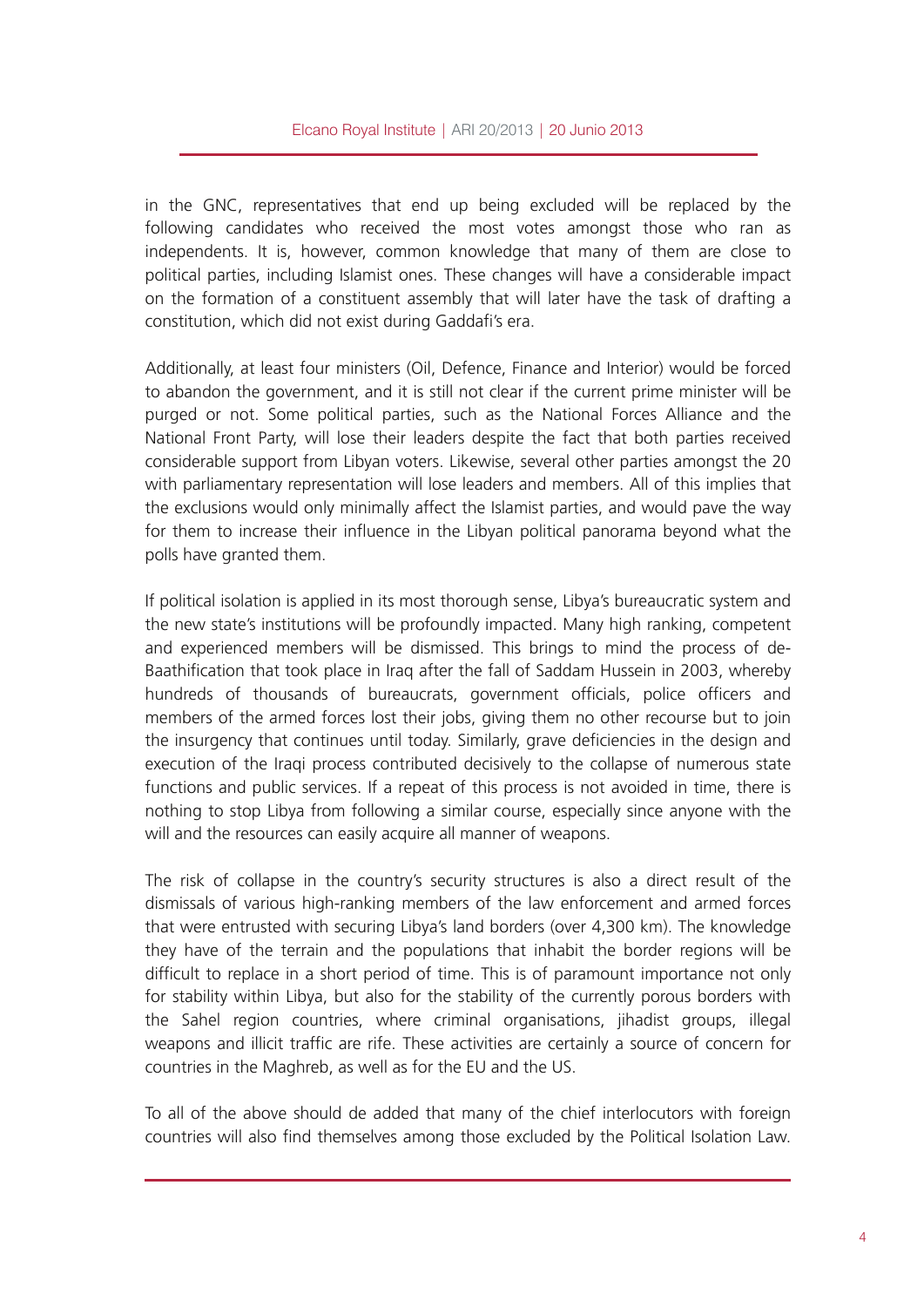in the GNC, representatives that end up being excluded will be replaced by the following candidates who received the most votes amongst those who ran as independents. It is, however, common knowledge that many of them are close to political parties, including Islamist ones. These changes will have a considerable impact on the formation of a constituent assembly that will later have the task of drafting a constitution, which did not exist during Gaddafi's era.

Additionally, at least four ministers (Oil, Defence, Finance and Interior) would be forced to abandon the government, and it is still not clear if the current prime minister will be purged or not. Some political parties, such as the National Forces Alliance and the National Front Party, will lose their leaders despite the fact that both parties received considerable support from Libyan voters. Likewise, several other parties amongst the 20 with parliamentary representation will lose leaders and members. All of this implies that the exclusions would only minimally affect the Islamist parties, and would pave the way for them to increase their influence in the Libyan political panorama beyond what the polls have granted them.

If political isolation is applied in its most thorough sense, Libya's bureaucratic system and the new state's institutions will be profoundly impacted. Many high ranking, competent and experienced members will be dismissed. This brings to mind the process of de-Baathification that took place in Iraq after the fall of Saddam Hussein in 2003, whereby hundreds of thousands of bureaucrats, government officials, police officers and members of the armed forces lost their jobs, giving them no other recourse but to join the insurgency that continues until today. Similarly, grave deficiencies in the design and execution of the Iraqi process contributed decisively to the collapse of numerous state functions and public services. If a repeat of this process is not avoided in time, there is nothing to stop Libya from following a similar course, especially since anyone with the will and the resources can easily acquire all manner of weapons.

The risk of collapse in the country's security structures is also a direct result of the dismissals of various high-ranking members of the law enforcement and armed forces that were entrusted with securing Libya's land borders (over 4,300 km). The knowledge they have of the terrain and the populations that inhabit the border regions will be difficult to replace in a short period of time. This is of paramount importance not only for stability within Libya, but also for the stability of the currently porous borders with the Sahel region countries, where criminal organisations, jihadist groups, illegal weapons and illicit traffic are rife. These activities are certainly a source of concern for countries in the Maghreb, as well as for the EU and the US.

To all of the above should de added that many of the chief interlocutors with foreign countries will also find themselves among those excluded by the Political Isolation Law.